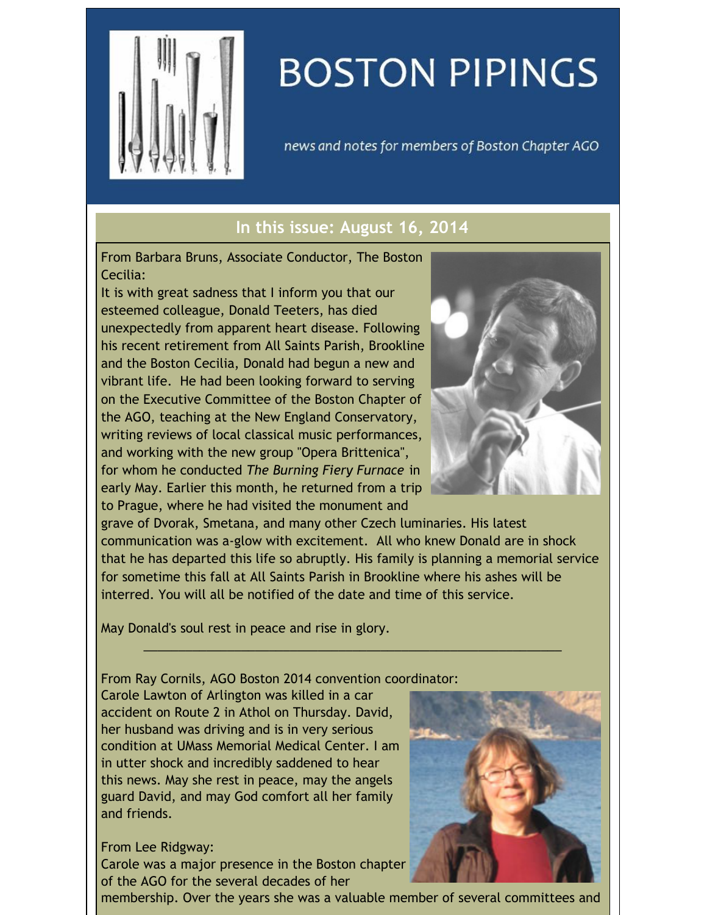

## **BOSTON PIPINGS**

news and notes for members of Boston Chapter AGO

## **In this issue: August 16, 2014**

From Barbara Bruns, Associate Conductor, The Boston Cecilia:

It is with great sadness that I inform you that our esteemed colleague, Donald Teeters, has died unexpectedly from apparent heart disease. Following his recent retirement from All Saints Parish, Brookline and the Boston Cecilia, Donald had begun a new and vibrant life. He had been looking forward to serving on the Executive Committee of the Boston Chapter of the AGO, teaching at the New England Conservatory, writing reviews of local classical music performances, and working with the new group "Opera Brittenica", for whom he conducted *The Burning Fiery Furnace* in early May. Earlier this month, he returned from a trip to Prague, where he had visited the monument and



grave of Dvorak, Smetana, and many other Czech luminaries. His latest communication was a-glow with excitement. All who knew Donald are in shock that he has departed this life so abruptly. His family is planning a memorial service for sometime this fall at All Saints Parish in Brookline where his ashes will be interred. You will all be notified of the date and time of this service.

 $\_$  , and the set of the set of the set of the set of the set of the set of the set of the set of the set of the set of the set of the set of the set of the set of the set of the set of the set of the set of the set of th

May Donald's soul rest in peace and rise in glory.

From Ray Cornils, AGO Boston 2014 convention coordinator:

Carole Lawton of Arlington was killed in a car accident on Route 2 in Athol on Thursday. David, her husband was driving and is in very serious condition at UMass Memorial Medical Center. I am in utter shock and incredibly saddened to hear this news. May she rest in peace, may the angels guard David, and may God comfort all her family and friends.

## From Lee Ridgway:

Carole was a major presence in the Boston chapter of the AGO for the several decades of her



membership. Over the years she was a valuable member of several committees and